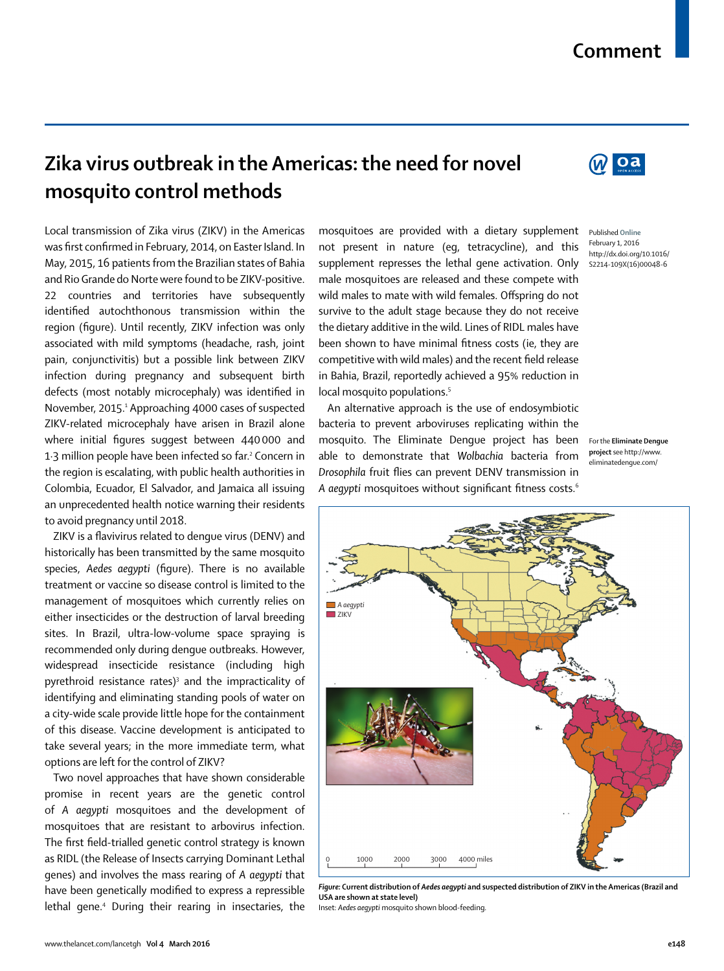## **Comment**

## **Zika virus outbreak in the Americas: the need for novel mosquito control methods**

Local transmission of Zika virus (ZIKV) in the Americas was first confirmed in February, 2014, on Easter Island. In May, 2015, 16 patients from the Brazilian states of Bahia and Rio Grande do Norte were found to be ZIKV-positive. 22 countries and territories have subsequently identified autochthonous transmission within the region (figure). Until recently, ZIKV infection was only associated with mild symptoms (headache, rash, joint pain, conjunctivitis) but a possible link between ZIKV infection during pregnancy and subsequent birth defects (most notably microcephaly) was identified in November, 2015.1 Approaching 4000 cases of suspected ZIKV-related microcephaly have arisen in Brazil alone where initial figures suggest between 440000 and 1·3 million people have been infected so far.2 Concern in the region is escalating, with public health authorities in Colombia, Ecuador, El Salvador, and Jamaica all issuing an unprecedented health notice warning their residents to avoid pregnancy until 2018.

ZIKV is a flavivirus related to dengue virus (DENV) and historically has been transmitted by the same mosquito species, Aedes aeqypti (fiqure). There is no available treatment or vaccine so disease control is limited to the management of mosquitoes which currently relies on either insecticides or the destruction of larval breeding sites. In Brazil, ultra-low-volume space spraying is recommended only during dengue outbreaks. However, widespread insecticide resistance (including high pyrethroid resistance rates)<sup>3</sup> and the impracticality of identifying and eliminating standing pools of water on a city-wide scale provide little hope for the containment of this disease. Vaccine development is anticipated to take several years; in the more immediate term, what options are left for the control of ZIKV?

Two novel approaches that have shown considerable promise in recent years are the genetic control of *A aegypti* mosquitoes and the development of mosquitoes that are resistant to arbovirus infection. The first field-trialled genetic control strategy is known as RIDL (the Release of Insects carrying Dominant Lethal genes) and involves the mass rearing of *A aegypti* that have been genetically modified to express a repressible lethal gene.<sup>4</sup> During their rearing in insectaries, the mosquitoes are provided with a dietary supplement not present in nature (eg, tetracycline), and this supplement represses the lethal gene activation. Only male mosquitoes are released and these compete with wild males to mate with wild females. Offspring do not survive to the adult stage because they do not receive the dietary additive in the wild. Lines of RIDL males have been shown to have minimal fitness costs (ie, they are competitive with wild males) and the recent field release in Bahia, Brazil, reportedly achieved a 95% reduction in local mosquito populations.<sup>5</sup>

An alternative approach is the use of endosymbiotic bacteria to prevent arboviruses replicating within the mosquito. The Eliminate Dengue project has been able to demonstrate that *Wolbachia* bacteria from **Drosophila** fruit flies can prevent DENV transmission in A aegypti mosquitoes without significant fitness costs.<sup>6</sup>

Published **Online** February 1, 2016 http://dx.doi.org/10.1016/ S2214-109X(16)00048-6

For the **Eliminate Dengue project** see http://www. eliminatedengue.com/



Inset: *Aedes aegypti* mosquito shown blood-feeding.